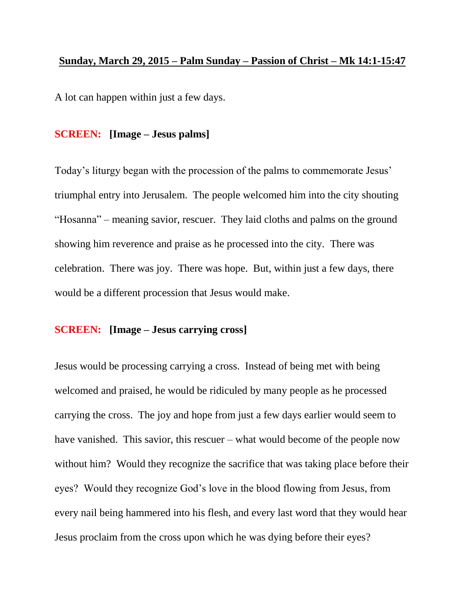## **Sunday, March 29, 2015 – Palm Sunday – Passion of Christ – Mk 14:1-15:47**

A lot can happen within just a few days.

## **SCREEN: [Image – Jesus palms]**

Today's liturgy began with the procession of the palms to commemorate Jesus' triumphal entry into Jerusalem. The people welcomed him into the city shouting "Hosanna" – meaning savior, rescuer. They laid cloths and palms on the ground showing him reverence and praise as he processed into the city. There was celebration. There was joy. There was hope. But, within just a few days, there would be a different procession that Jesus would make.

## **SCREEN: [Image – Jesus carrying cross]**

Jesus would be processing carrying a cross. Instead of being met with being welcomed and praised, he would be ridiculed by many people as he processed carrying the cross. The joy and hope from just a few days earlier would seem to have vanished. This savior, this rescuer – what would become of the people now without him? Would they recognize the sacrifice that was taking place before their eyes? Would they recognize God's love in the blood flowing from Jesus, from every nail being hammered into his flesh, and every last word that they would hear Jesus proclaim from the cross upon which he was dying before their eyes?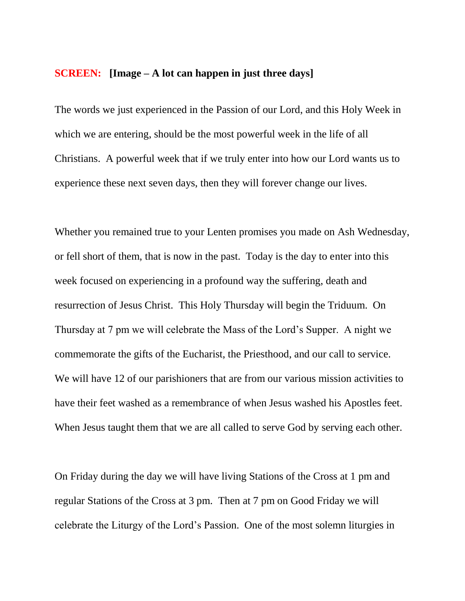## **SCREEN: [Image – A lot can happen in just three days]**

The words we just experienced in the Passion of our Lord, and this Holy Week in which we are entering, should be the most powerful week in the life of all Christians. A powerful week that if we truly enter into how our Lord wants us to experience these next seven days, then they will forever change our lives.

Whether you remained true to your Lenten promises you made on Ash Wednesday, or fell short of them, that is now in the past. Today is the day to enter into this week focused on experiencing in a profound way the suffering, death and resurrection of Jesus Christ. This Holy Thursday will begin the Triduum. On Thursday at 7 pm we will celebrate the Mass of the Lord's Supper. A night we commemorate the gifts of the Eucharist, the Priesthood, and our call to service. We will have 12 of our parishioners that are from our various mission activities to have their feet washed as a remembrance of when Jesus washed his Apostles feet. When Jesus taught them that we are all called to serve God by serving each other.

On Friday during the day we will have living Stations of the Cross at 1 pm and regular Stations of the Cross at 3 pm. Then at 7 pm on Good Friday we will celebrate the Liturgy of the Lord's Passion. One of the most solemn liturgies in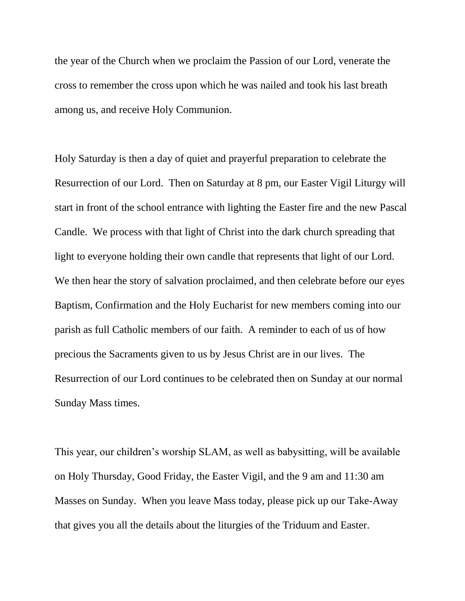the year of the Church when we proclaim the Passion of our Lord, venerate the cross to remember the cross upon which he was nailed and took his last breath among us, and receive Holy Communion.

Holy Saturday is then a day of quiet and prayerful preparation to celebrate the Resurrection of our Lord. Then on Saturday at 8 pm, our Easter Vigil Liturgy will start in front of the school entrance with lighting the Easter fire and the new Pascal Candle. We process with that light of Christ into the dark church spreading that light to everyone holding their own candle that represents that light of our Lord. We then hear the story of salvation proclaimed, and then celebrate before our eyes Baptism, Confirmation and the Holy Eucharist for new members coming into our parish as full Catholic members of our faith. A reminder to each of us of how precious the Sacraments given to us by Jesus Christ are in our lives. The Resurrection of our Lord continues to be celebrated then on Sunday at our normal Sunday Mass times.

This year, our children's worship SLAM, as well as babysitting, will be available on Holy Thursday, Good Friday, the Easter Vigil, and the 9 am and 11:30 am Masses on Sunday. When you leave Mass today, please pick up our Take-Away that gives you all the details about the liturgies of the Triduum and Easter.